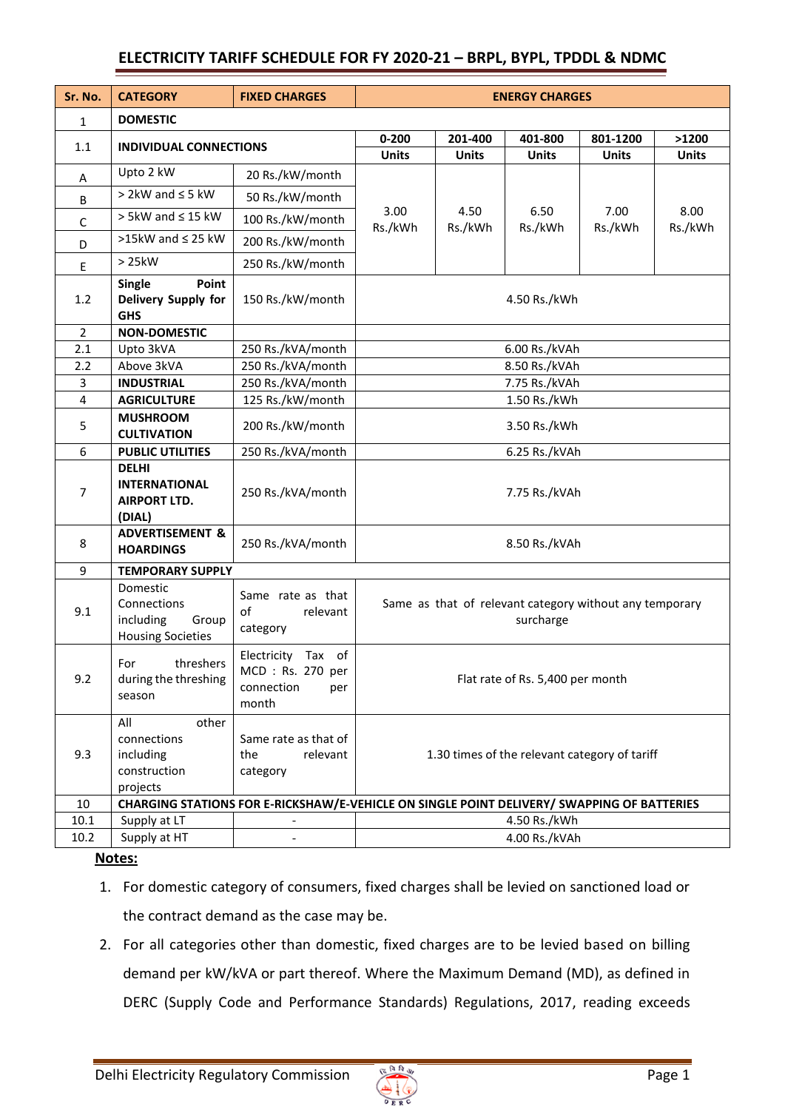# **ELECTRICITY TARIFF SCHEDULE FOR FY 2020-21 – BRPL, BYPL, TPDDL & NDMC**

| Sr. No.        | <b>CATEGORY</b>                                                           | <b>FIXED CHARGES</b>                                                 | <b>ENERGY CHARGES</b>                                                                      |                                                                      |                 |                 |                 |  |
|----------------|---------------------------------------------------------------------------|----------------------------------------------------------------------|--------------------------------------------------------------------------------------------|----------------------------------------------------------------------|-----------------|-----------------|-----------------|--|
| 1              | <b>DOMESTIC</b>                                                           |                                                                      |                                                                                            |                                                                      |                 |                 |                 |  |
| 1.1            | <b>INDIVIDUAL CONNECTIONS</b>                                             |                                                                      | $0 - 200$                                                                                  | 201-400                                                              | 401-800         | 801-1200        | >1200           |  |
|                |                                                                           |                                                                      | <b>Units</b>                                                                               | <b>Units</b>                                                         | <b>Units</b>    | <b>Units</b>    | <b>Units</b>    |  |
| A              | Upto 2 kW                                                                 | 20 Rs./kW/month                                                      |                                                                                            |                                                                      |                 |                 |                 |  |
| В              | $>$ 2kW and $\leq$ 5 kW                                                   | 50 Rs./kW/month                                                      |                                                                                            |                                                                      | 6.50<br>Rs./kWh | 7.00<br>Rs./kWh | 8.00<br>Rs./kWh |  |
| С              | $> 5kW$ and $\leq 15 kW$                                                  | 100 Rs./kW/month                                                     | 3.00<br>Rs./kWh                                                                            | 4.50<br>Rs./kWh                                                      |                 |                 |                 |  |
| D              | >15kW and $\leq$ 25 kW                                                    | 200 Rs./kW/month                                                     |                                                                                            |                                                                      |                 |                 |                 |  |
| Ε              | > 25kW                                                                    | 250 Rs./kW/month                                                     |                                                                                            |                                                                      |                 |                 |                 |  |
| 1.2            | Point<br><b>Single</b><br>Delivery Supply for<br><b>GHS</b>               | 150 Rs./kW/month                                                     | 4.50 Rs./kWh                                                                               |                                                                      |                 |                 |                 |  |
| $\overline{2}$ | <b>NON-DOMESTIC</b>                                                       |                                                                      |                                                                                            |                                                                      |                 |                 |                 |  |
| 2.1            | Upto 3kVA                                                                 | 250 Rs./kVA/month                                                    | 6.00 Rs./kVAh                                                                              |                                                                      |                 |                 |                 |  |
| 2.2            | Above 3kVA                                                                | 250 Rs./kVA/month                                                    | 8.50 Rs./kVAh                                                                              |                                                                      |                 |                 |                 |  |
| 3              | <b>INDUSTRIAL</b>                                                         | 250 Rs./kVA/month                                                    | 7.75 Rs./kVAh                                                                              |                                                                      |                 |                 |                 |  |
| 4              | <b>AGRICULTURE</b>                                                        | 125 Rs./kW/month                                                     | 1.50 Rs./kWh                                                                               |                                                                      |                 |                 |                 |  |
| 5              | <b>MUSHROOM</b><br><b>CULTIVATION</b>                                     | 200 Rs./kW/month                                                     | 3.50 Rs./kWh                                                                               |                                                                      |                 |                 |                 |  |
| 6              | <b>PUBLIC UTILITIES</b>                                                   | 250 Rs./kVA/month                                                    | 6.25 Rs./kVAh                                                                              |                                                                      |                 |                 |                 |  |
| 7              | <b>DELHI</b><br><b>INTERNATIONAL</b><br><b>AIRPORT LTD.</b><br>(DIAL)     | 250 Rs./kVA/month                                                    | 7.75 Rs./kVAh                                                                              |                                                                      |                 |                 |                 |  |
| 8              | <b>ADVERTISEMENT &amp;</b><br><b>HOARDINGS</b>                            | 250 Rs./kVA/month                                                    | 8.50 Rs./kVAh                                                                              |                                                                      |                 |                 |                 |  |
| 9              | <b>TEMPORARY SUPPLY</b>                                                   |                                                                      |                                                                                            |                                                                      |                 |                 |                 |  |
| 9.1            | Domestic<br>Connections<br>including<br>Group<br><b>Housing Societies</b> | Same rate as that<br>of<br>relevant<br>category                      |                                                                                            | Same as that of relevant category without any temporary<br>surcharge |                 |                 |                 |  |
| 9.2            | threshers<br>For<br>during the threshing<br>season                        | Electricity Tax of<br>MCD: Rs. 270 per<br>connection<br>per<br>month |                                                                                            | Flat rate of Rs. 5,400 per month                                     |                 |                 |                 |  |
| 9.3            | All<br>other<br>connections<br>including<br>construction<br>projects      | Same rate as that of<br>the<br>relevant<br>category                  | 1.30 times of the relevant category of tariff                                              |                                                                      |                 |                 |                 |  |
| 10             |                                                                           |                                                                      | CHARGING STATIONS FOR E-RICKSHAW/E-VEHICLE ON SINGLE POINT DELIVERY/ SWAPPING OF BATTERIES |                                                                      |                 |                 |                 |  |
| $10.1\,$       | Supply at LT                                                              |                                                                      | 4.50 Rs./kWh                                                                               |                                                                      |                 |                 |                 |  |
| 10.2           | Supply at HT                                                              |                                                                      | 4.00 Rs./kVAh                                                                              |                                                                      |                 |                 |                 |  |

### **Notes:**

- 1. For domestic category of consumers, fixed charges shall be levied on sanctioned load or the contract demand as the case may be.
- 2. For all categories other than domestic, fixed charges are to be levied based on billing demand per kW/kVA or part thereof. Where the Maximum Demand (MD), as defined in DERC (Supply Code and Performance Standards) Regulations, 2017, reading exceeds

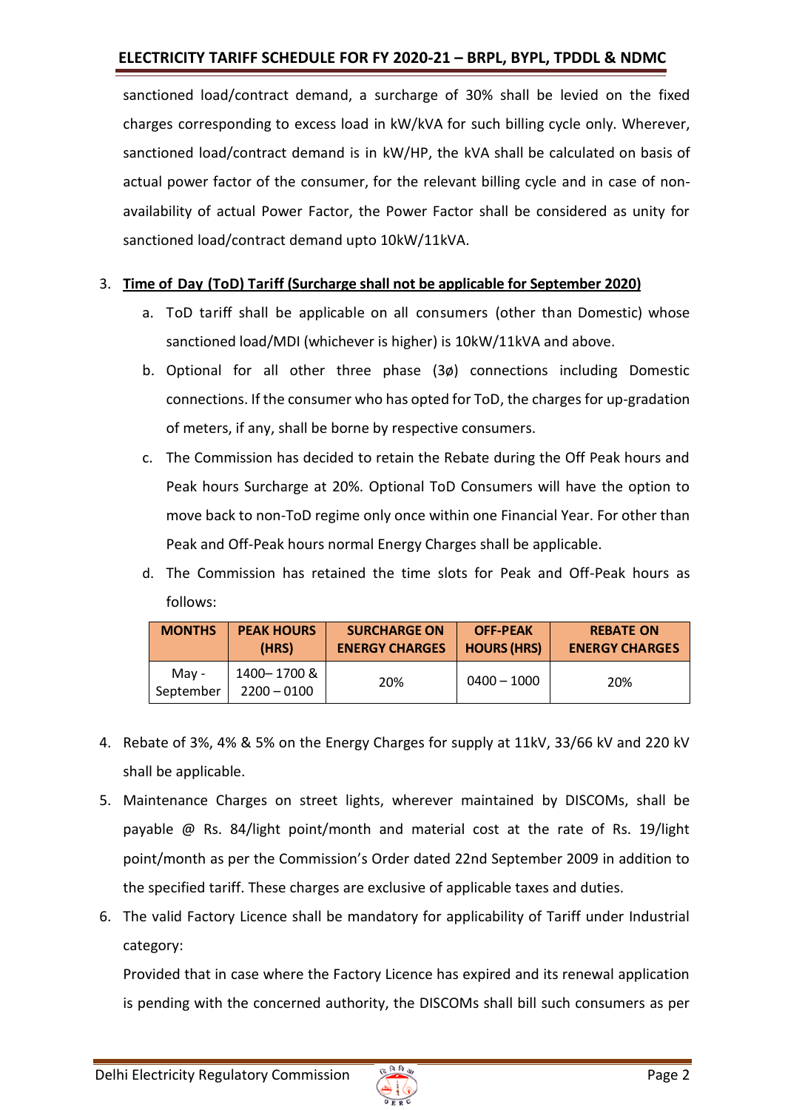# **ELECTRICITY TARIFF SCHEDULE FOR FY 2020-21 – BRPL, BYPL, TPDDL & NDMC**

sanctioned load/contract demand, a surcharge of 30% shall be levied on the fixed charges corresponding to excess load in kW/kVA for such billing cycle only. Wherever, sanctioned load/contract demand is in kW/HP, the kVA shall be calculated on basis of actual power factor of the consumer, for the relevant billing cycle and in case of nonavailability of actual Power Factor, the Power Factor shall be considered as unity for sanctioned load/contract demand upto 10kW/11kVA.

### 3. **Time of Day (ToD) Tariff (Surcharge shall not be applicable for September 2020)**

- a. ToD tariff shall be applicable on all consumers (other than Domestic) whose sanctioned load/MDI (whichever is higher) is 10kW/11kVA and above.
- b. Optional for all other three phase (3ø) connections including Domestic connections. If the consumer who has opted for ToD, the charges for up-gradation of meters, if any, shall be borne by respective consumers.
- c. The Commission has decided to retain the Rebate during the Off Peak hours and Peak hours Surcharge at 20%. Optional ToD Consumers will have the option to move back to non-ToD regime only once within one Financial Year. For other than Peak and Off-Peak hours normal Energy Charges shall be applicable.
- d. The Commission has retained the time slots for Peak and Off-Peak hours as follows:

| <b>MONTHS</b>      | <b>PEAK HOURS</b>           | <b>SURCHARGE ON</b>   | <b>OFF-PEAK</b>    | <b>REBATE ON</b>      |
|--------------------|-----------------------------|-----------------------|--------------------|-----------------------|
|                    | (HRS)                       | <b>ENERGY CHARGES</b> | <b>HOURS (HRS)</b> | <b>ENERGY CHARGES</b> |
| May -<br>September | 1400-1700&<br>$2200 - 0100$ | 20%                   | $0400 - 1000$      | 20%                   |

- 4. Rebate of 3%, 4% & 5% on the Energy Charges for supply at 11kV, 33/66 kV and 220 kV shall be applicable.
- 5. Maintenance Charges on street lights, wherever maintained by DISCOMs, shall be payable @ Rs. 84/light point/month and material cost at the rate of Rs. 19/light point/month as per the Commission's Order dated 22nd September 2009 in addition to the specified tariff. These charges are exclusive of applicable taxes and duties.
- 6. The valid Factory Licence shall be mandatory for applicability of Tariff under Industrial category:

Provided that in case where the Factory Licence has expired and its renewal application is pending with the concerned authority, the DISCOMs shall bill such consumers as per

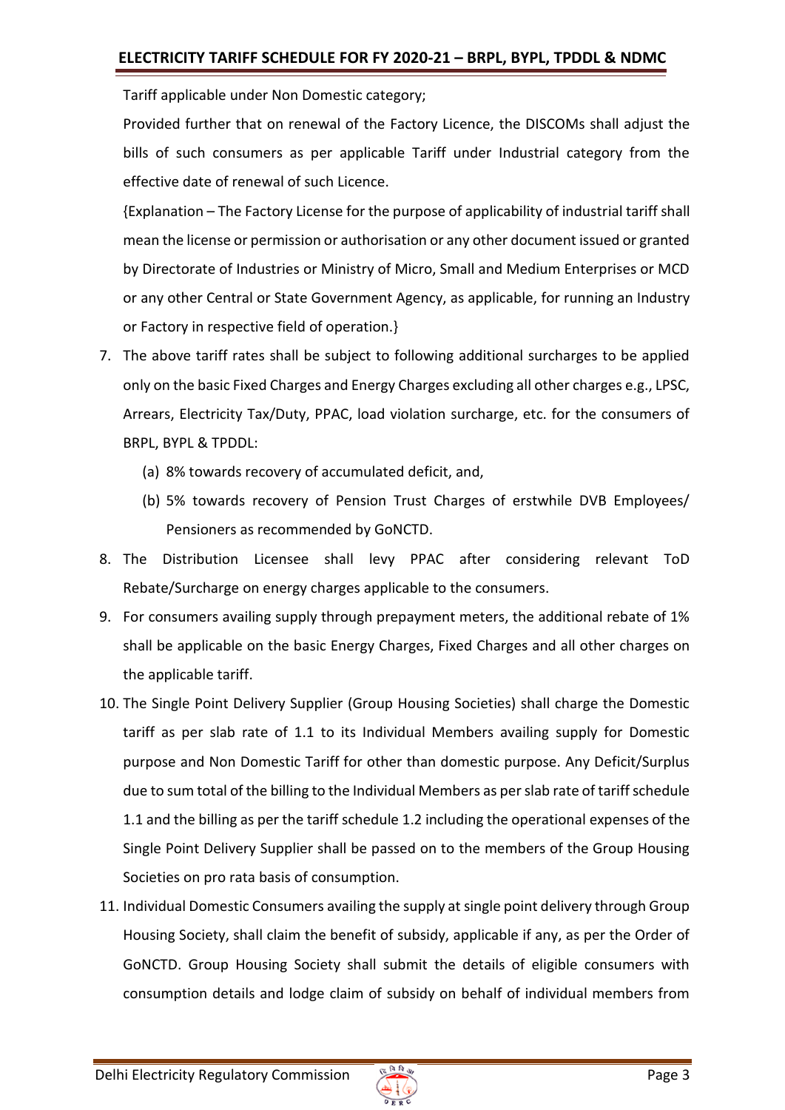Tariff applicable under Non Domestic category;

Provided further that on renewal of the Factory Licence, the DISCOMs shall adjust the bills of such consumers as per applicable Tariff under Industrial category from the effective date of renewal of such Licence.

{Explanation – The Factory License for the purpose of applicability of industrial tariff shall mean the license or permission or authorisation or any other document issued or granted by Directorate of Industries or Ministry of Micro, Small and Medium Enterprises or MCD or any other Central or State Government Agency, as applicable, for running an Industry or Factory in respective field of operation.}

- 7. The above tariff rates shall be subject to following additional surcharges to be applied only on the basic Fixed Charges and Energy Charges excluding all other charges e.g., LPSC, Arrears, Electricity Tax/Duty, PPAC, load violation surcharge, etc. for the consumers of BRPL, BYPL & TPDDL:
	- (a) 8% towards recovery of accumulated deficit, and,
	- (b) 5% towards recovery of Pension Trust Charges of erstwhile DVB Employees/ Pensioners as recommended by GoNCTD.
- 8. The Distribution Licensee shall levy PPAC after considering relevant ToD Rebate/Surcharge on energy charges applicable to the consumers.
- 9. For consumers availing supply through prepayment meters, the additional rebate of 1% shall be applicable on the basic Energy Charges, Fixed Charges and all other charges on the applicable tariff.
- 10. The Single Point Delivery Supplier (Group Housing Societies) shall charge the Domestic tariff as per slab rate of 1.1 to its Individual Members availing supply for Domestic purpose and Non Domestic Tariff for other than domestic purpose. Any Deficit/Surplus due to sum total of the billing to the Individual Members as per slab rate of tariff schedule 1.1 and the billing as per the tariff schedule 1.2 including the operational expenses of the Single Point Delivery Supplier shall be passed on to the members of the Group Housing Societies on pro rata basis of consumption.
- 11. Individual Domestic Consumers availing the supply at single point delivery through Group Housing Society, shall claim the benefit of subsidy, applicable if any, as per the Order of GoNCTD. Group Housing Society shall submit the details of eligible consumers with consumption details and lodge claim of subsidy on behalf of individual members from

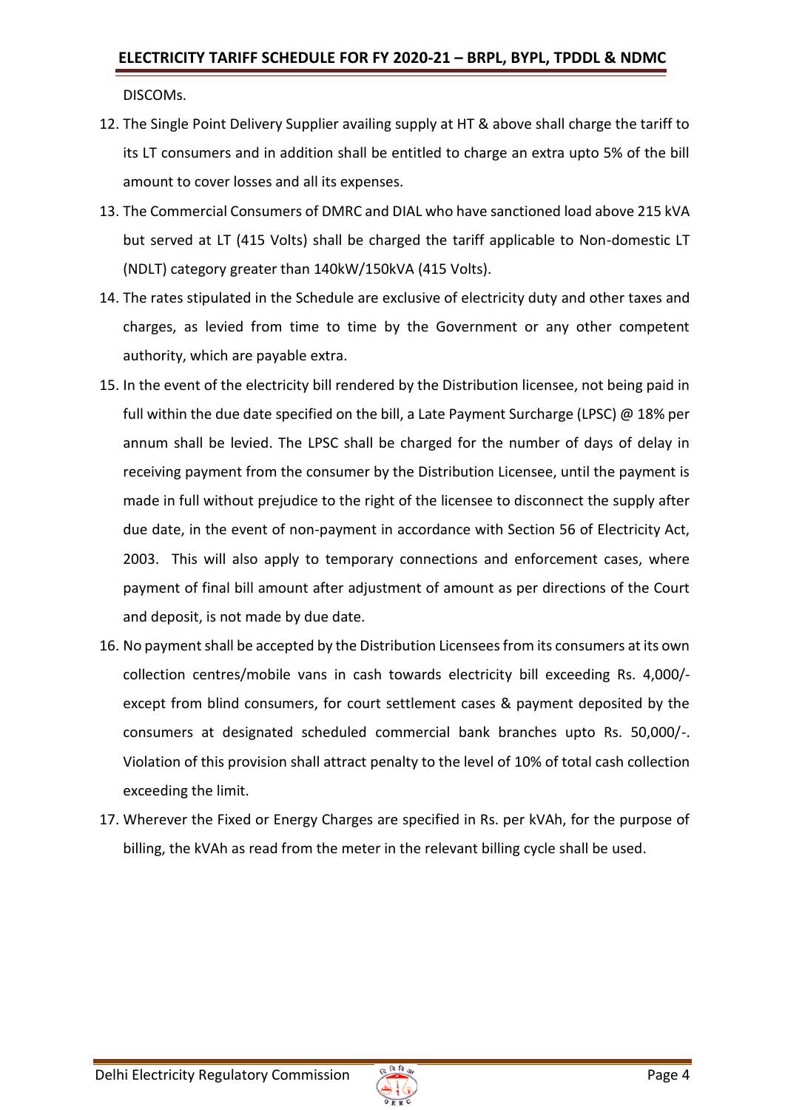DISCOMs.

- 12. The Single Point Delivery Supplier availing supply at HT & above shall charge the tariff to its LT consumers and in addition shall be entitled to charge an extra upto 5% of the bill amount to cover losses and all its expenses.
- 13. The Commercial Consumers of DMRC and DIAL who have sanctioned load above 215 kVA but served at LT (415 Volts) shall be charged the tariff applicable to Non-domestic LT (NDLT) category greater than 140kW/150kVA (415 Volts).
- 14. The rates stipulated in the Schedule are exclusive of electricity duty and other taxes and charges, as levied from time to time by the Government or any other competent authority, which are payable extra.
- 15. In the event of the electricity bill rendered by the Distribution licensee, not being paid in full within the due date specified on the bill, a Late Payment Surcharge (LPSC)  $\omega$  18% per annum shall be levied. The LPSC shall be charged for the number of days of delay in receiving payment from the consumer by the Distribution Licensee, until the payment is made in full without prejudice to the right of the licensee to disconnect the supply after due date, in the event of non-payment in accordance with Section 56 of Electricity Act, 2003. This will also apply to temporary connections and enforcement cases, where payment of final bill amount after adjustment of amount as per directions of the Court and deposit, is not made by due date.
- 16. No payment shall be accepted by the Distribution Licensees from its consumers at its own collection centres/mobile vans in cash towards electricity bill exceeding Rs. 4,000/ except from blind consumers, for court settlement cases & payment deposited by the consumers at designated scheduled commercial bank branches upto Rs. 50,000/-. Violation of this provision shall attract penalty to the level of 10% of total cash collection exceeding the limit.
- 17. Wherever the Fixed or Energy Charges are specified in Rs. per kVAh, for the purpose of billing, the kVAh as read from the meter in the relevant billing cycle shall be used.

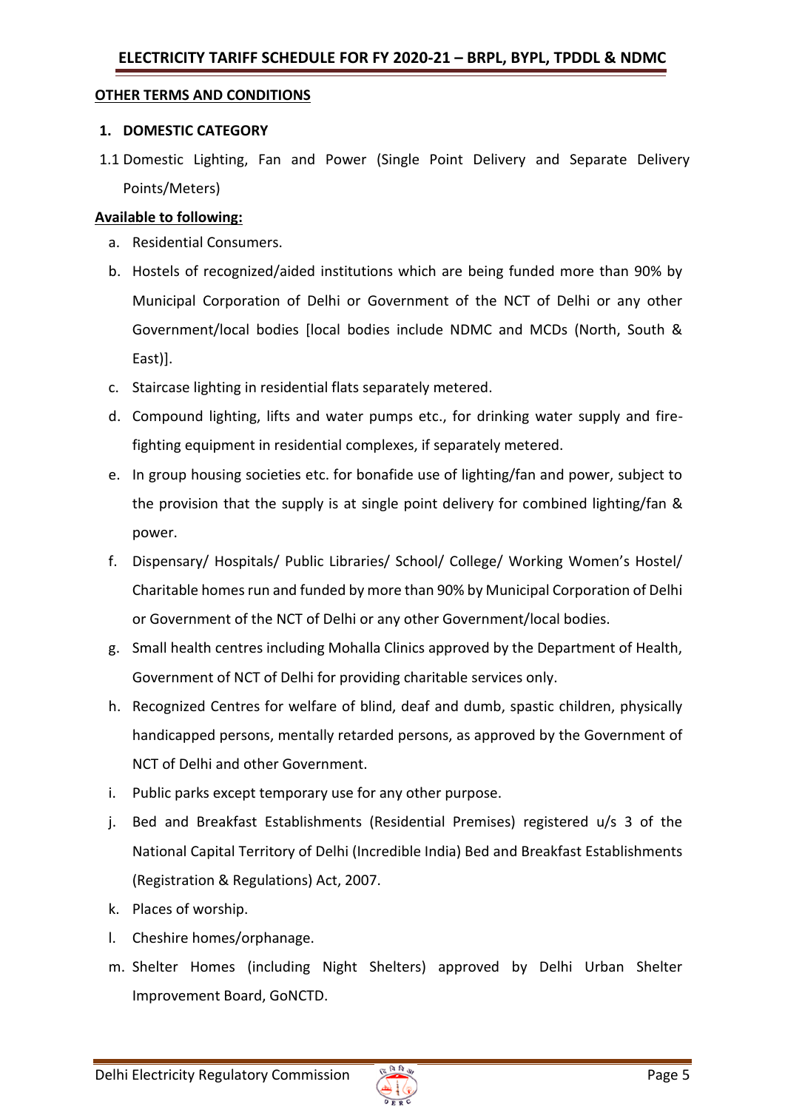#### **OTHER TERMS AND CONDITIONS**

#### **1. DOMESTIC CATEGORY**

1.1 Domestic Lighting, Fan and Power (Single Point Delivery and Separate Delivery Points/Meters)

#### **Available to following:**

- a. Residential Consumers.
- b. Hostels of recognized/aided institutions which are being funded more than 90% by Municipal Corporation of Delhi or Government of the NCT of Delhi or any other Government/local bodies [local bodies include NDMC and MCDs (North, South & East)].
- c. Staircase lighting in residential flats separately metered.
- d. Compound lighting, lifts and water pumps etc., for drinking water supply and firefighting equipment in residential complexes, if separately metered.
- e. In group housing societies etc. for bonafide use of lighting/fan and power, subject to the provision that the supply is at single point delivery for combined lighting/fan & power.
- f. Dispensary/ Hospitals/ Public Libraries/ School/ College/ Working Women's Hostel/ Charitable homes run and funded by more than 90% by Municipal Corporation of Delhi or Government of the NCT of Delhi or any other Government/local bodies.
- g. Small health centres including Mohalla Clinics approved by the Department of Health, Government of NCT of Delhi for providing charitable services only.
- h. Recognized Centres for welfare of blind, deaf and dumb, spastic children, physically handicapped persons, mentally retarded persons, as approved by the Government of NCT of Delhi and other Government.
- i. Public parks except temporary use for any other purpose.
- j. Bed and Breakfast Establishments (Residential Premises) registered u/s 3 of the National Capital Territory of Delhi (Incredible India) Bed and Breakfast Establishments (Registration & Regulations) Act, 2007.
- k. Places of worship.
- l. Cheshire homes/orphanage.
- m. Shelter Homes (including Night Shelters) approved by Delhi Urban Shelter Improvement Board, GoNCTD.

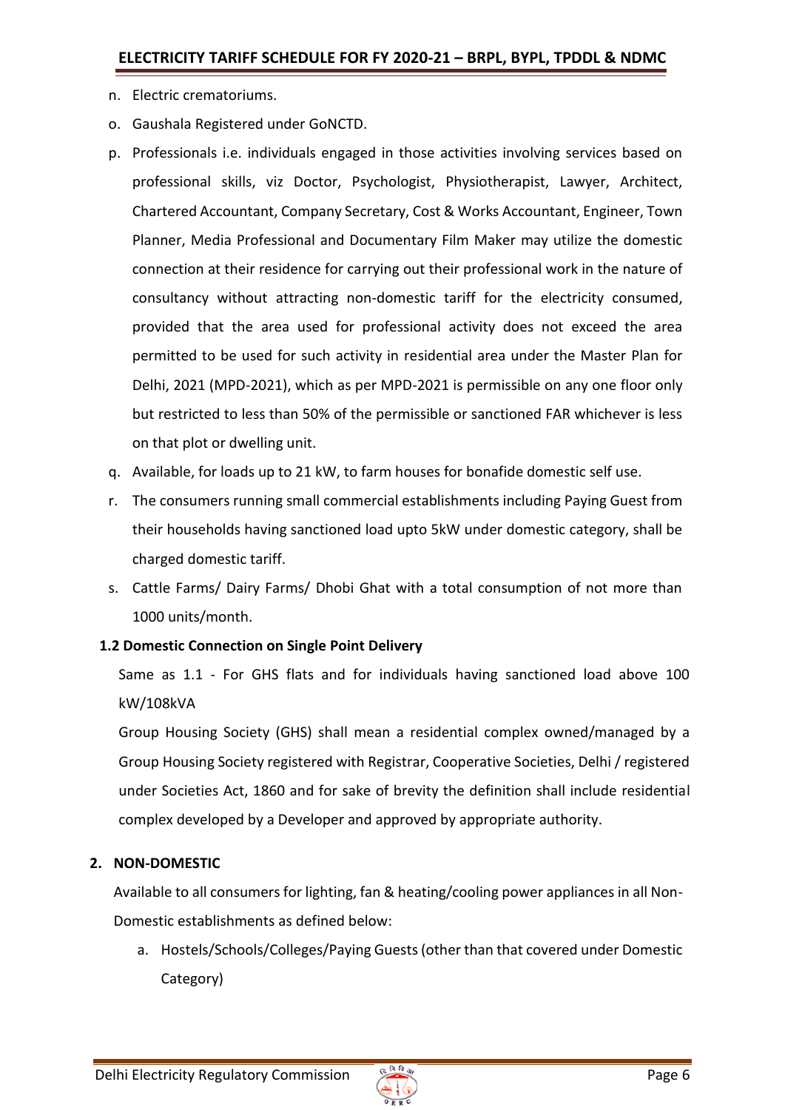- n. Electric crematoriums.
- o. Gaushala Registered under GoNCTD.
- p. Professionals i.e. individuals engaged in those activities involving services based on professional skills, viz Doctor, Psychologist, Physiotherapist, Lawyer, Architect, Chartered Accountant, Company Secretary, Cost & Works Accountant, Engineer, Town Planner, Media Professional and Documentary Film Maker may utilize the domestic connection at their residence for carrying out their professional work in the nature of consultancy without attracting non-domestic tariff for the electricity consumed, provided that the area used for professional activity does not exceed the area permitted to be used for such activity in residential area under the Master Plan for Delhi, 2021 (MPD-2021), which as per MPD-2021 is permissible on any one floor only but restricted to less than 50% of the permissible or sanctioned FAR whichever is less on that plot or dwelling unit.
- q. Available, for loads up to 21 kW, to farm houses for bonafide domestic self use.
- r. The consumers running small commercial establishments including Paying Guest from their households having sanctioned load upto 5kW under domestic category, shall be charged domestic tariff.
- s. Cattle Farms/ Dairy Farms/ Dhobi Ghat with a total consumption of not more than 1000 units/month.

### **1.2 Domestic Connection on Single Point Delivery**

Same as 1.1 - For GHS flats and for individuals having sanctioned load above 100 kW/108kVA

Group Housing Society (GHS) shall mean a residential complex owned/managed by a Group Housing Society registered with Registrar, Cooperative Societies, Delhi / registered under Societies Act, 1860 and for sake of brevity the definition shall include residential complex developed by a Developer and approved by appropriate authority.

### **2. NON-DOMESTIC**

Available to all consumers for lighting, fan & heating/cooling power appliances in all Non-Domestic establishments as defined below:

a. Hostels/Schools/Colleges/Paying Guests (other than that covered under Domestic Category)

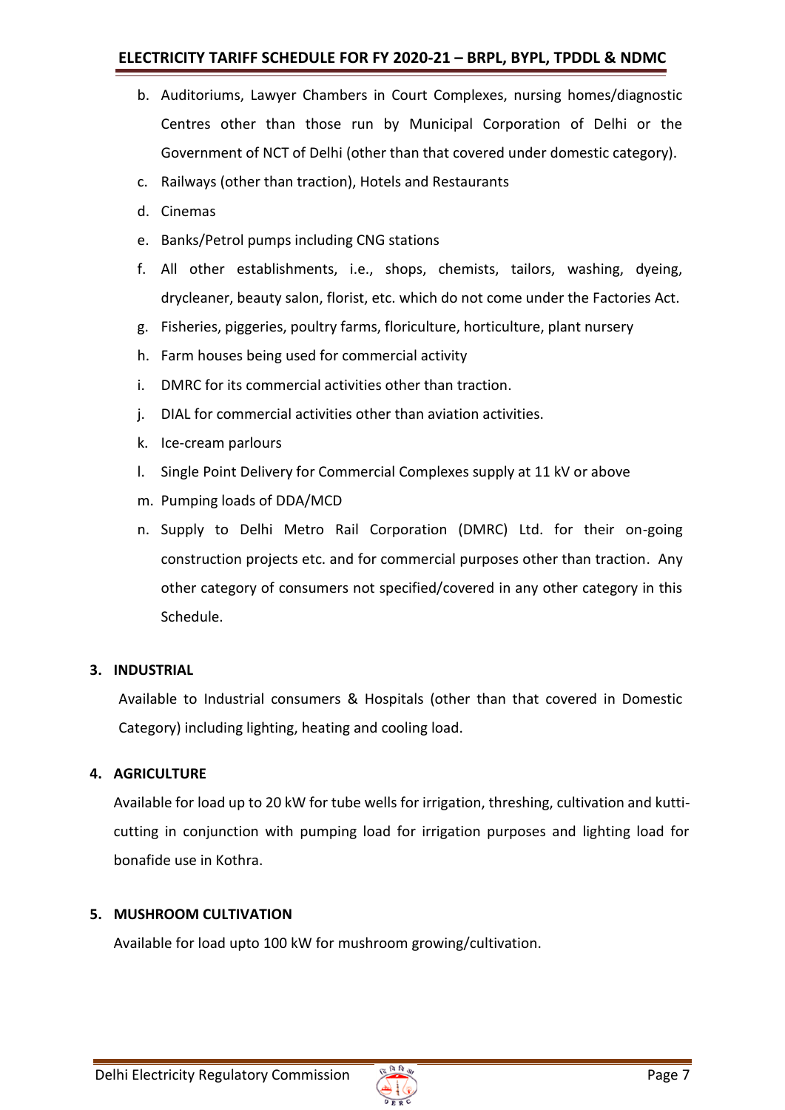# **ELECTRICITY TARIFF SCHEDULE FOR FY 2020-21 – BRPL, BYPL, TPDDL & NDMC**

- b. Auditoriums, Lawyer Chambers in Court Complexes, nursing homes/diagnostic Centres other than those run by Municipal Corporation of Delhi or the Government of NCT of Delhi (other than that covered under domestic category).
- c. Railways (other than traction), Hotels and Restaurants
- d. Cinemas
- e. Banks/Petrol pumps including CNG stations
- f. All other establishments, i.e., shops, chemists, tailors, washing, dyeing, drycleaner, beauty salon, florist, etc. which do not come under the Factories Act.
- g. Fisheries, piggeries, poultry farms, floriculture, horticulture, plant nursery
- h. Farm houses being used for commercial activity
- i. DMRC for its commercial activities other than traction.
- j. DIAL for commercial activities other than aviation activities.
- k. Ice-cream parlours
- l. Single Point Delivery for Commercial Complexes supply at 11 kV or above
- m. Pumping loads of DDA/MCD
- n. Supply to Delhi Metro Rail Corporation (DMRC) Ltd. for their on-going construction projects etc. and for commercial purposes other than traction. Any other category of consumers not specified/covered in any other category in this Schedule.

### **3. INDUSTRIAL**

Available to Industrial consumers & Hospitals (other than that covered in Domestic Category) including lighting, heating and cooling load.

### **4. AGRICULTURE**

Available for load up to 20 kW for tube wells for irrigation, threshing, cultivation and kutticutting in conjunction with pumping load for irrigation purposes and lighting load for bonafide use in Kothra.

### **5. MUSHROOM CULTIVATION**

Available for load upto 100 kW for mushroom growing/cultivation.

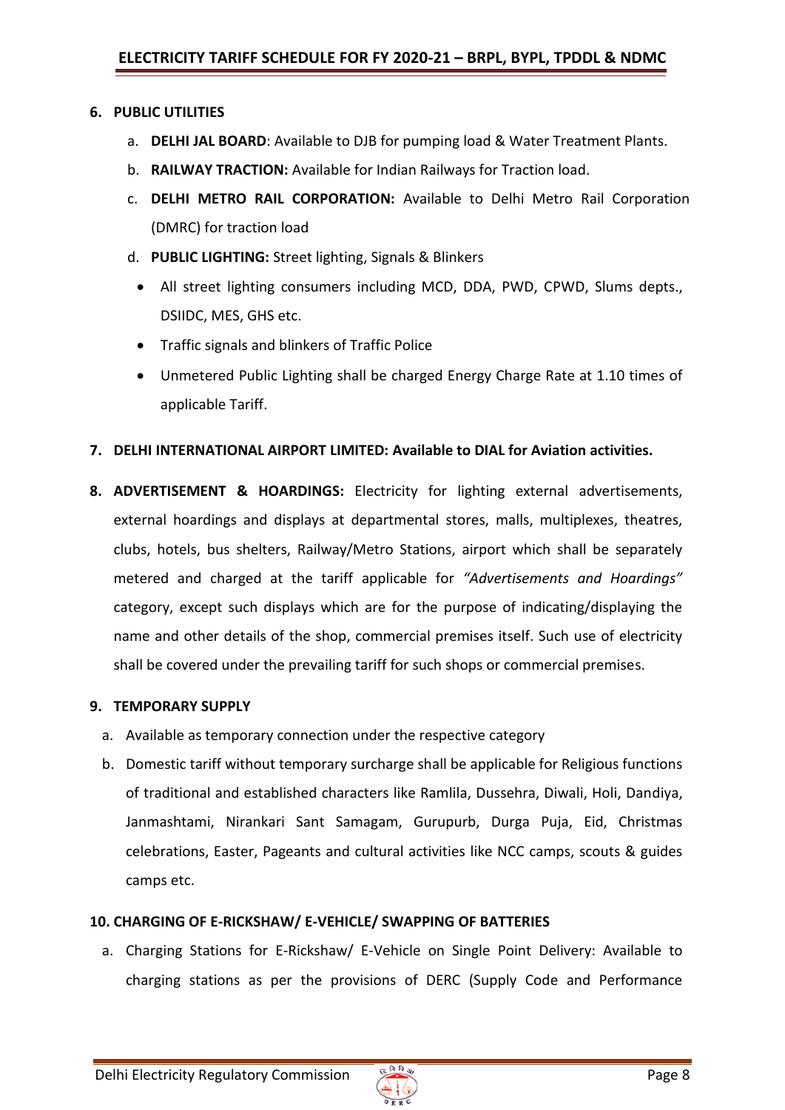### **6. PUBLIC UTILITIES**

- a. **DELHI JAL BOARD**: Available to DJB for pumping load & Water Treatment Plants.
- b. **RAILWAY TRACTION:** Available for Indian Railways for Traction load.
- c. **DELHI METRO RAIL CORPORATION:** Available to Delhi Metro Rail Corporation (DMRC) for traction load
- d. **PUBLIC LIGHTING:** Street lighting, Signals & Blinkers
	- All street lighting consumers including MCD, DDA, PWD, CPWD, Slums depts., DSIIDC, MES, GHS etc.
	- Traffic signals and blinkers of Traffic Police
	- Unmetered Public Lighting shall be charged Energy Charge Rate at 1.10 times of applicable Tariff.

### **7. DELHI INTERNATIONAL AIRPORT LIMITED: Available to DIAL for Aviation activities.**

**8. ADVERTISEMENT & HOARDINGS:** Electricity for lighting external advertisements, external hoardings and displays at departmental stores, malls, multiplexes, theatres, clubs, hotels, bus shelters, Railway/Metro Stations, airport which shall be separately metered and charged at the tariff applicable for *"Advertisements and Hoardings"* category, except such displays which are for the purpose of indicating/displaying the name and other details of the shop, commercial premises itself. Such use of electricity shall be covered under the prevailing tariff for such shops or commercial premises.

### **9. TEMPORARY SUPPLY**

- a. Available as temporary connection under the respective category
- b. Domestic tariff without temporary surcharge shall be applicable for Religious functions of traditional and established characters like Ramlila, Dussehra, Diwali, Holi, Dandiya, Janmashtami, Nirankari Sant Samagam, Gurupurb, Durga Puja, Eid, Christmas celebrations, Easter, Pageants and cultural activities like NCC camps, scouts & guides camps etc.

### **10. CHARGING OF E-RICKSHAW/ E-VEHICLE/ SWAPPING OF BATTERIES**

a. Charging Stations for E-Rickshaw/ E-Vehicle on Single Point Delivery: Available to charging stations as per the provisions of DERC (Supply Code and Performance